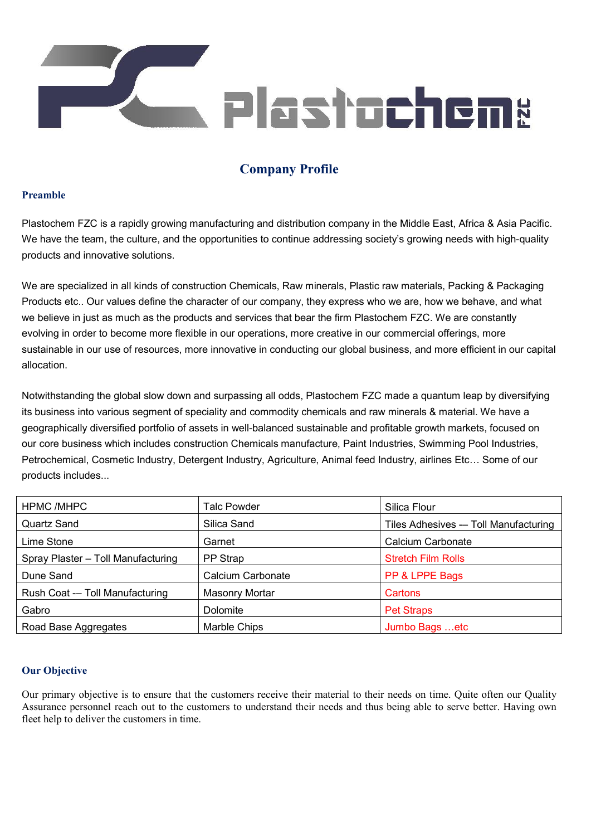

# **Company Profile**

## **Preamble**

Plastochem FZC is a rapidly growing manufacturing and distribution company in the Middle East, Africa & Asia Pacific. We have the team, the culture, and the opportunities to continue addressing society's growing needs with high-quality products and innovative solutions.

We are specialized in all kinds of construction Chemicals, Raw minerals, Plastic raw materials, Packing & Packaging Products etc.. Our values define the character of our company, they express who we are, how we behave, and what we believe in just as much as the products and services that bear the firm Plastochem FZC. We are constantly evolving in order to become more flexible in our operations, more creative in our commercial offerings, more sustainable in our use of resources, more innovative in conducting our global business, and more efficient in our capital allocation.

Notwithstanding the global slow down and surpassing all odds, Plastochem FZC made a quantum leap by diversifying its business into various segment of speciality and commodity chemicals and raw minerals & material. We have a geographically diversified portfolio of assets in well-balanced sustainable and profitable growth markets, focused on our core business which includes construction Chemicals manufacture, Paint Industries, Swimming Pool Industries, Petrochemical, Cosmetic Industry, Detergent Industry, Agriculture, Animal feed Industry, airlines Etc… Some of our products includes...

| <b>HPMC/MHPC</b>                   | Talc Powder       | Silica Flour                          |
|------------------------------------|-------------------|---------------------------------------|
| Quartz Sand                        | Silica Sand       | Tiles Adhesives -- Toll Manufacturing |
| Lime Stone                         | Garnet            | Calcium Carbonate                     |
| Spray Plaster - Toll Manufacturing | PP Strap          | <b>Stretch Film Rolls</b>             |
| Dune Sand                          | Calcium Carbonate | PP & LPPE Bags                        |
| Rush Coat -- Toll Manufacturing    | Masonry Mortar    | Cartons                               |
| Gabro                              | Dolomite          | <b>Pet Straps</b>                     |
| Road Base Aggregates               | Marble Chips      | Jumbo Bags etc                        |

## **Our Objective**

Our primary objective is to ensure that the customers receive their material to their needs on time. Quite often our Quality Assurance personnel reach out to the customers to understand their needs and thus being able to serve better. Having own fleet help to deliver the customers in time.